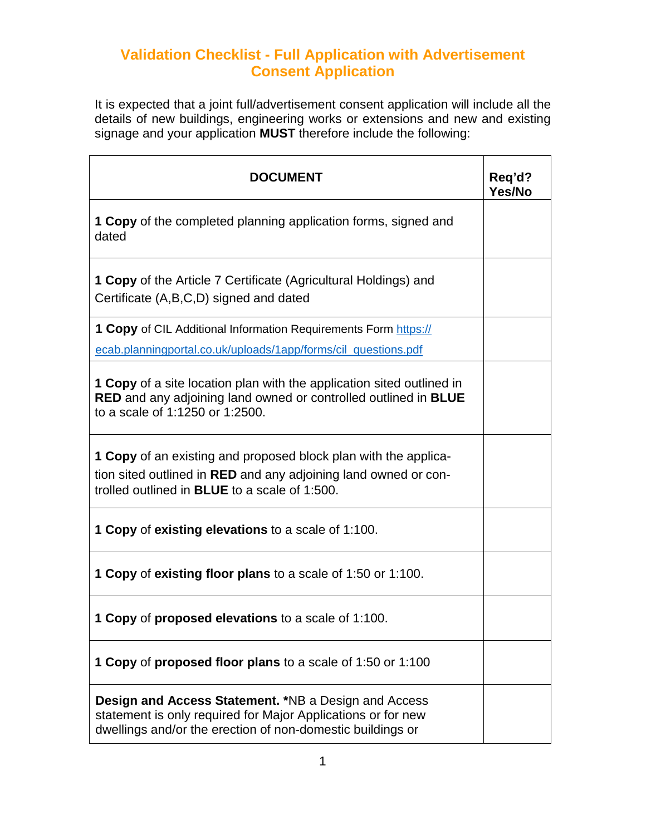## **Validation Checklist - Full Application with Advertisement Consent Application**

It is expected that a joint full/advertisement consent application will include all the details of new buildings, engineering works or extensions and new and existing signage and your application **MUST** therefore include the following:

| <b>DOCUMENT</b>                                                                                                                                                                                          | Req'd?<br>Yes/No |
|----------------------------------------------------------------------------------------------------------------------------------------------------------------------------------------------------------|------------------|
| <b>1 Copy</b> of the completed planning application forms, signed and<br>dated                                                                                                                           |                  |
| <b>1 Copy</b> of the Article 7 Certificate (Agricultural Holdings) and<br>Certificate (A,B,C,D) signed and dated                                                                                         |                  |
| <b>1 Copy</b> of CIL Additional Information Requirements Form https://                                                                                                                                   |                  |
| ecab.planningportal.co.uk/uploads/1app/forms/cil_questions.pdf                                                                                                                                           |                  |
| <b>1 Copy</b> of a site location plan with the application sited outlined in<br><b>RED</b> and any adjoining land owned or controlled outlined in <b>BLUE</b><br>to a scale of 1:1250 or 1:2500.         |                  |
| <b>1 Copy</b> of an existing and proposed block plan with the applica-<br>tion sited outlined in <b>RED</b> and any adjoining land owned or con-<br>trolled outlined in <b>BLUE</b> to a scale of 1:500. |                  |
| <b>1 Copy of existing elevations to a scale of 1:100.</b>                                                                                                                                                |                  |
| <b>1 Copy of existing floor plans to a scale of 1:50 or 1:100.</b>                                                                                                                                       |                  |
| <b>1 Copy of proposed elevations to a scale of 1:100.</b>                                                                                                                                                |                  |
| <b>1 Copy of proposed floor plans to a scale of 1:50 or 1:100</b>                                                                                                                                        |                  |
| <b>Design and Access Statement.</b> *NB a Design and Access<br>statement is only required for Major Applications or for new<br>dwellings and/or the erection of non-domestic buildings or                |                  |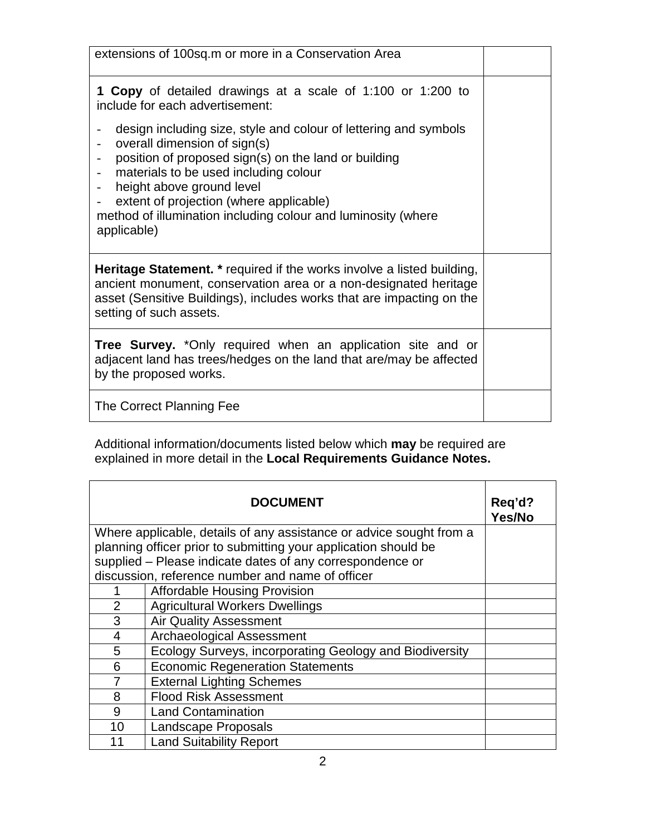| extensions of 100sq.m or more in a Conservation Area                                                                                                                                                                                                                                                                                                                                                                                                 |  |
|------------------------------------------------------------------------------------------------------------------------------------------------------------------------------------------------------------------------------------------------------------------------------------------------------------------------------------------------------------------------------------------------------------------------------------------------------|--|
| <b>1 Copy</b> of detailed drawings at a scale of 1:100 or 1:200 to<br>include for each advertisement:                                                                                                                                                                                                                                                                                                                                                |  |
| design including size, style and colour of lettering and symbols<br>$\overline{\phantom{m}}$<br>overall dimension of sign(s)<br>$\frac{1}{2}$<br>position of proposed sign(s) on the land or building<br>materials to be used including colour<br>$\overline{\phantom{a}}$<br>height above ground level<br>$\blacksquare$<br>extent of projection (where applicable)<br>method of illumination including colour and luminosity (where<br>applicable) |  |
| <b>Heritage Statement.</b> * required if the works involve a listed building,<br>ancient monument, conservation area or a non-designated heritage<br>asset (Sensitive Buildings), includes works that are impacting on the<br>setting of such assets.                                                                                                                                                                                                |  |
| Tree Survey. *Only required when an application site and or<br>adjacent land has trees/hedges on the land that are/may be affected<br>by the proposed works.                                                                                                                                                                                                                                                                                         |  |
| The Correct Planning Fee                                                                                                                                                                                                                                                                                                                                                                                                                             |  |

Additional information/documents listed below which **may** be required are explained in more detail in the **Local Requirements Guidance Notes.**

|                                                                     | <b>DOCUMENT</b>                                           | Req'd?<br>Yes/No |
|---------------------------------------------------------------------|-----------------------------------------------------------|------------------|
| Where applicable, details of any assistance or advice sought from a |                                                           |                  |
| planning officer prior to submitting your application should be     |                                                           |                  |
|                                                                     | supplied - Please indicate dates of any correspondence or |                  |
|                                                                     | discussion, reference number and name of officer          |                  |
|                                                                     | <b>Affordable Housing Provision</b>                       |                  |
| $\overline{2}$                                                      | <b>Agricultural Workers Dwellings</b>                     |                  |
| 3                                                                   | <b>Air Quality Assessment</b>                             |                  |
| 4                                                                   | <b>Archaeological Assessment</b>                          |                  |
| 5                                                                   | Ecology Surveys, incorporating Geology and Biodiversity   |                  |
| 6                                                                   | <b>Economic Regeneration Statements</b>                   |                  |
| 7                                                                   | <b>External Lighting Schemes</b>                          |                  |
| 8                                                                   | <b>Flood Risk Assessment</b>                              |                  |
| 9                                                                   | <b>Land Contamination</b>                                 |                  |
| 10                                                                  | Landscape Proposals                                       |                  |
| 11                                                                  | <b>Land Suitability Report</b>                            |                  |